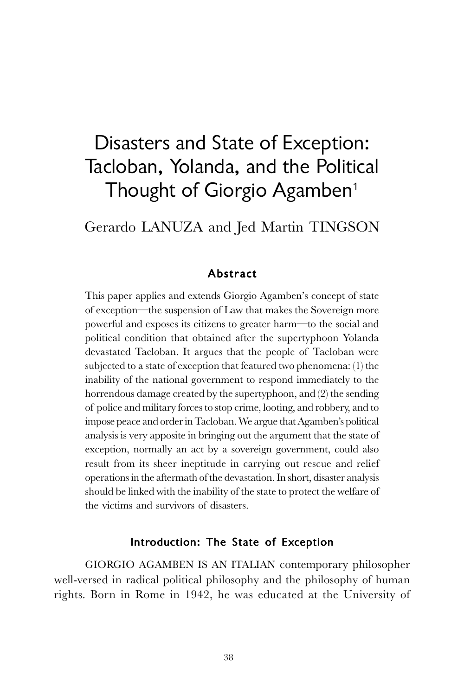# Disasters and State of Exception: Tacloban, Yolanda, and the Political Thought of Giorgio Agamben<sup>1</sup>

Gerardo LANUZA and Jed Martin TINGSON

#### Abstract

This paper applies and extends Giorgio Agamben's concept of state of exception—the suspension of Law that makes the Sovereign more powerful and exposes its citizens to greater harm—to the social and political condition that obtained after the supertyphoon Yolanda devastated Tacloban. It argues that the people of Tacloban were subjected to a state of exception that featured two phenomena: (1) the inability of the national government to respond immediately to the horrendous damage created by the supertyphoon, and (2) the sending of police and military forces to stop crime, looting, and robbery, and to impose peace and order in Tacloban. We argue that Agamben's political analysis is very apposite in bringing out the argument that the state of exception, normally an act by a sovereign government, could also result from its sheer ineptitude in carrying out rescue and relief operations in the aftermath of the devastation. In short, disaster analysis should be linked with the inability of the state to protect the welfare of the victims and survivors of disasters.

## Introduction: The State of Exception

GIORGIO AGAMBEN IS AN ITALIAN contemporary philosopher well-versed in radical political philosophy and the philosophy of human rights. Born in Rome in 1942, he was educated at the University of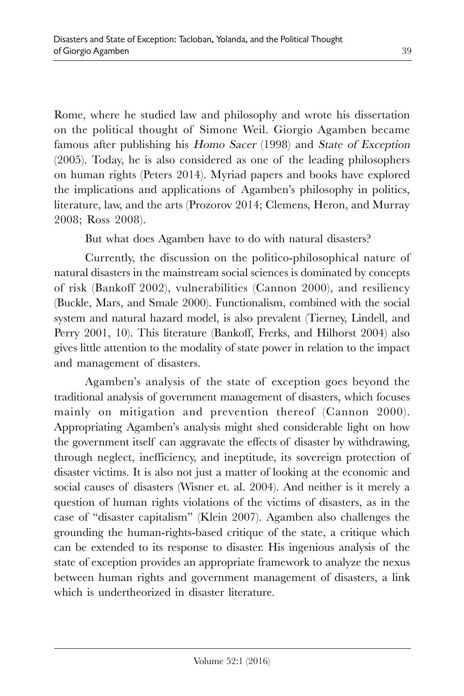Rome, where he studied law and philosophy and wrote his dissertation on the political thought of Simone Weil. Giorgio Agamben became famous after publishing his Homo Sacer (1998) and State of Exception (2005). Today, he is also considered as one of the leading philosophers on human rights (Peters 2014). Myriad papers and books have explored the implications and applications of Agamben's philosophy in politics, literature, law, and the arts (Prozorov 2014; Clemens, Heron, and Murray 2008; Ross 2008).

But what does Agamben have to do with natural disasters?

Currently, the discussion on the politico-philosophical nature of natural disasters in the mainstream social sciences is dominated by concepts of risk (Bankoff 2002), vulnerabilities (Cannon 2000), and resiliency (Buckle, Mars, and Smale 2000). Functionalism, combined with the social system and natural hazard model, is also prevalent (Tierney, Lindell, and Perry 2001, 10). This literature (Bankoff, Frerks, and Hilhorst 2004) also gives little attention to the modality of state power in relation to the impact and management of disasters.

Agamben's analysis of the state of exception goes beyond the traditional analysis of government management of disasters, which focuses mainly on mitigation and prevention thereof (Cannon 2000). Appropriating Agamben's analysis might shed considerable light on how the government itself can aggravate the effects of disaster by withdrawing, through neglect, inefficiency, and ineptitude, its sovereign protection of disaster victims. It is also not just a matter of looking at the economic and social causes of disasters (Wisner et. al. 2004). And neither is it merely a question of human rights violations of the victims of disasters, as in the case of "disaster capitalism" (Klein 2007). Agamben also challenges the grounding the human-rights-based critique of the state, a critique which can be extended to its response to disaster. His ingenious analysis of the state of exception provides an appropriate framework to analyze the nexus between human rights and government management of disasters, a link which is undertheorized in disaster literature.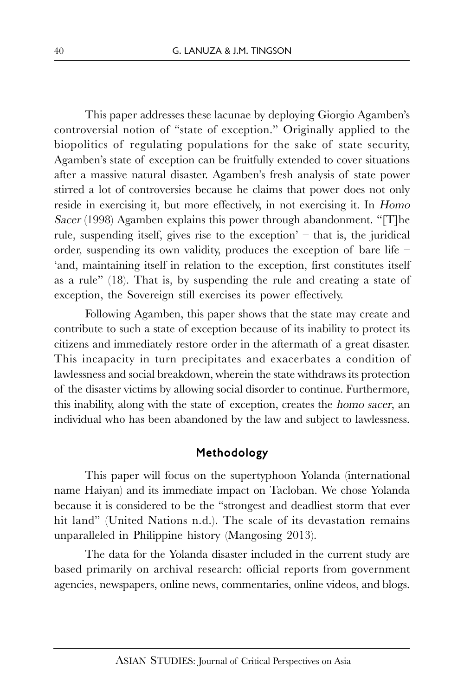This paper addresses these lacunae by deploying Giorgio Agamben's controversial notion of "state of exception." Originally applied to the biopolitics of regulating populations for the sake of state security, Agamben's state of exception can be fruitfully extended to cover situations after a massive natural disaster. Agamben's fresh analysis of state power stirred a lot of controversies because he claims that power does not only reside in exercising it, but more effectively, in not exercising it. In Homo Sacer (1998) Agamben explains this power through abandonment. "[T]he rule, suspending itself, gives rise to the exception'  $-$  that is, the juridical order, suspending its own validity, produces the exception of bare life – 'and, maintaining itself in relation to the exception, first constitutes itself as a rule" (18). That is, by suspending the rule and creating a state of exception, the Sovereign still exercises its power effectively.

Following Agamben, this paper shows that the state may create and contribute to such a state of exception because of its inability to protect its citizens and immediately restore order in the aftermath of a great disaster. This incapacity in turn precipitates and exacerbates a condition of lawlessness and social breakdown, wherein the state withdraws its protection of the disaster victims by allowing social disorder to continue. Furthermore, this inability, along with the state of exception, creates the homo sacer, an individual who has been abandoned by the law and subject to lawlessness.

#### Methodology

This paper will focus on the supertyphoon Yolanda (international name Haiyan) and its immediate impact on Tacloban. We chose Yolanda because it is considered to be the "strongest and deadliest storm that ever hit land" (United Nations n.d.). The scale of its devastation remains unparalleled in Philippine history (Mangosing 2013).

The data for the Yolanda disaster included in the current study are based primarily on archival research: official reports from government agencies, newspapers, online news, commentaries, online videos, and blogs.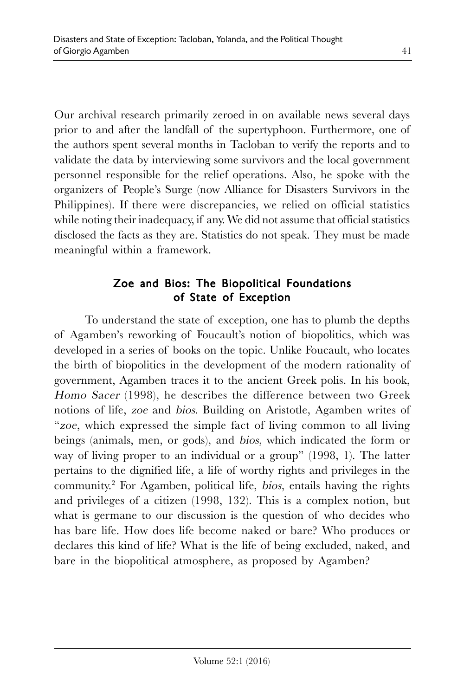Our archival research primarily zeroed in on available news several days prior to and after the landfall of the supertyphoon. Furthermore, one of the authors spent several months in Tacloban to verify the reports and to validate the data by interviewing some survivors and the local government personnel responsible for the relief operations. Also, he spoke with the organizers of People's Surge (now Alliance for Disasters Survivors in the Philippines). If there were discrepancies, we relied on official statistics while noting their inadequacy, if any. We did not assume that official statistics disclosed the facts as they are. Statistics do not speak. They must be made meaningful within a framework.

# Zoe and Bios: The Biopolitical Foundations of State of Exception

To understand the state of exception, one has to plumb the depths of Agamben's reworking of Foucault's notion of biopolitics, which was developed in a series of books on the topic. Unlike Foucault, who locates the birth of biopolitics in the development of the modern rationality of government, Agamben traces it to the ancient Greek polis. In his book, Homo Sacer (1998), he describes the difference between two Greek notions of life, zoe and bios. Building on Aristotle, Agamben writes of "zoe, which expressed the simple fact of living common to all living beings (animals, men, or gods), and bios, which indicated the form or way of living proper to an individual or a group" (1998, 1). The latter pertains to the dignified life, a life of worthy rights and privileges in the community. <sup>2</sup> For Agamben, political life, bios, entails having the rights and privileges of a citizen (1998, 132). This is a complex notion, but what is germane to our discussion is the question of who decides who has bare life. How does life become naked or bare? Who produces or declares this kind of life? What is the life of being excluded, naked, and bare in the biopolitical atmosphere, as proposed by Agamben?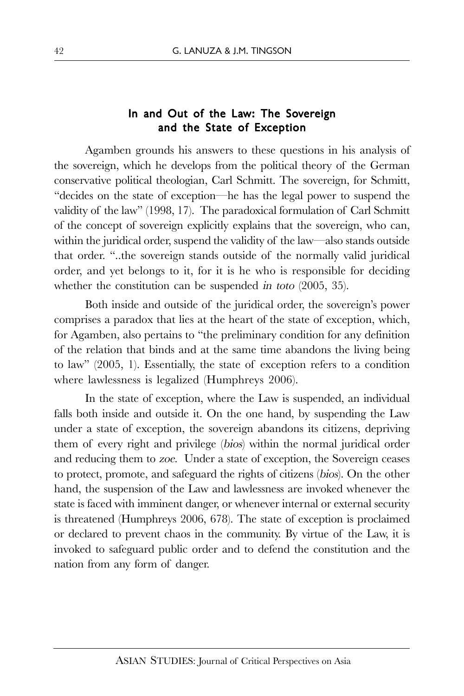#### In and Out of the Law: The Sovereign and the State of Exception

Agamben grounds his answers to these questions in his analysis of the sovereign, which he develops from the political theory of the German conservative political theologian, Carl Schmitt. The sovereign, for Schmitt, "decides on the state of exception—he has the legal power to suspend the validity of the law" (1998, 17). The paradoxical formulation of Carl Schmitt of the concept of sovereign explicitly explains that the sovereign, who can, within the juridical order, suspend the validity of the law—also stands outside that order. "..the sovereign stands outside of the normally valid juridical order, and yet belongs to it, for it is he who is responsible for deciding whether the constitution can be suspended in toto (2005, 35).

Both inside and outside of the juridical order, the sovereign's power comprises a paradox that lies at the heart of the state of exception, which, for Agamben, also pertains to "the preliminary condition for any definition of the relation that binds and at the same time abandons the living being to law" (2005, 1). Essentially, the state of exception refers to a condition where lawlessness is legalized (Humphreys 2006).

In the state of exception, where the Law is suspended, an individual falls both inside and outside it. On the one hand, by suspending the Law under a state of exception, the sovereign abandons its citizens, depriving them of every right and privilege (bios) within the normal juridical order and reducing them to zoe. Under a state of exception, the Sovereign ceases to protect, promote, and safeguard the rights of citizens (bios). On the other hand, the suspension of the Law and lawlessness are invoked whenever the state is faced with imminent danger, or whenever internal or external security is threatened (Humphreys 2006, 678). The state of exception is proclaimed or declared to prevent chaos in the community. By virtue of the Law, it is invoked to safeguard public order and to defend the constitution and the nation from any form of danger.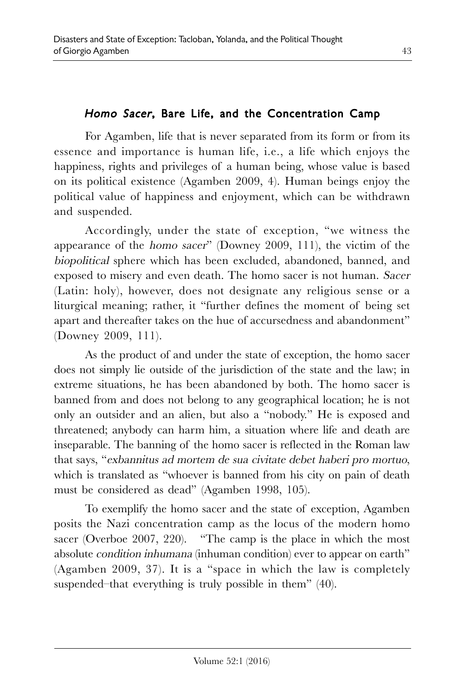# Homo Sacer, Bare Life, and the Concentration Camp

For Agamben, life that is never separated from its form or from its essence and importance is human life, i.e., a life which enjoys the happiness, rights and privileges of a human being, whose value is based on its political existence (Agamben 2009, 4). Human beings enjoy the political value of happiness and enjoyment, which can be withdrawn and suspended.

Accordingly, under the state of exception, "we witness the appearance of the homo sacer" (Downey 2009, 111), the victim of the biopolitical sphere which has been excluded, abandoned, banned, and exposed to misery and even death. The homo sacer is not human. Sacer (Latin: holy), however, does not designate any religious sense or a liturgical meaning; rather, it "further defines the moment of being set apart and thereafter takes on the hue of accursedness and abandonment" (Downey 2009, 111).

As the product of and under the state of exception, the homo sacer does not simply lie outside of the jurisdiction of the state and the law; in extreme situations, he has been abandoned by both. The homo sacer is banned from and does not belong to any geographical location; he is not only an outsider and an alien, but also a "nobody." He is exposed and threatened; anybody can harm him, a situation where life and death are inseparable. The banning of the homo sacer is reflected in the Roman law that says, "exbannitus ad mortem de sua civitate debet haberi pro mortuo, which is translated as "whoever is banned from his city on pain of death must be considered as dead" (Agamben 1998, 105).

To exemplify the homo sacer and the state of exception, Agamben posits the Nazi concentration camp as the locus of the modern homo sacer (Overboe 2007, 220). "The camp is the place in which the most absolute condition inhumana (inhuman condition) ever to appear on earth" (Agamben 2009, 37). It is a "space in which the law is completely suspended–that everything is truly possible in them" (40).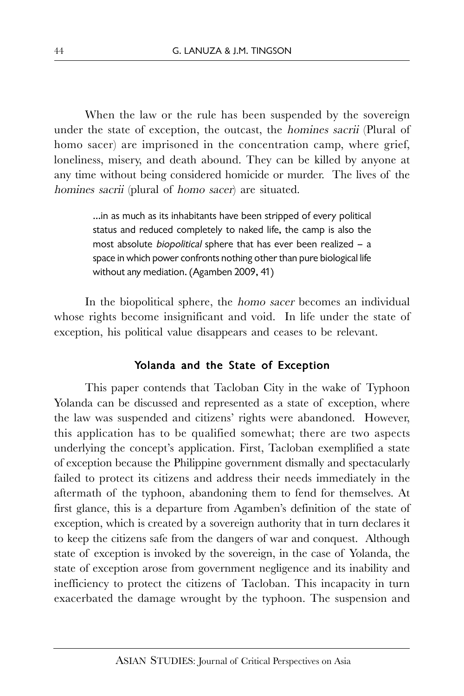When the law or the rule has been suspended by the sovereign under the state of exception, the outcast, the homines sacrii (Plural of homo sacer) are imprisoned in the concentration camp, where grief, loneliness, misery, and death abound. They can be killed by anyone at any time without being considered homicide or murder. The lives of the homines sacrii (plural of homo sacer) are situated.

> …in as much as its inhabitants have been stripped of every political status and reduced completely to naked life, the camp is also the most absolute biopolitical sphere that has ever been realized – a space in which power confronts nothing other than pure biological life without any mediation. (Agamben 2009, 41)

In the biopolitical sphere, the *homo sacer* becomes an individual whose rights become insignificant and void. In life under the state of exception, his political value disappears and ceases to be relevant.

## Yolanda and the State of Exception

This paper contends that Tacloban City in the wake of Typhoon Yolanda can be discussed and represented as a state of exception, where the law was suspended and citizens' rights were abandoned. However, this application has to be qualified somewhat; there are two aspects underlying the concept's application. First, Tacloban exemplified a state of exception because the Philippine government dismally and spectacularly failed to protect its citizens and address their needs immediately in the aftermath of the typhoon, abandoning them to fend for themselves. At first glance, this is a departure from Agamben's definition of the state of exception, which is created by a sovereign authority that in turn declares it to keep the citizens safe from the dangers of war and conquest. Although state of exception is invoked by the sovereign, in the case of Yolanda, the state of exception arose from government negligence and its inability and inefficiency to protect the citizens of Tacloban. This incapacity in turn exacerbated the damage wrought by the typhoon. The suspension and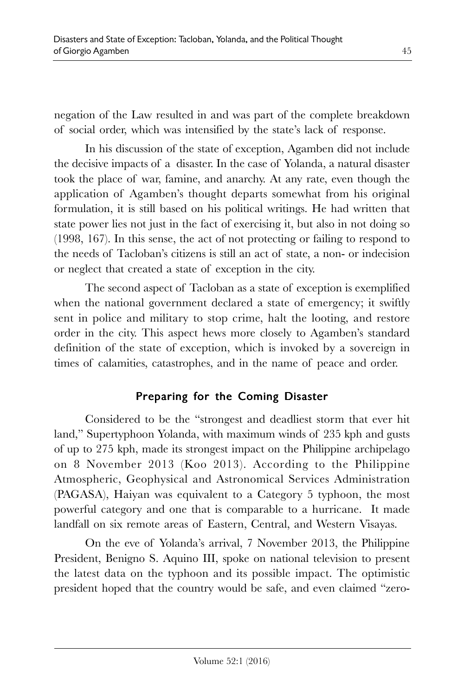negation of the Law resulted in and was part of the complete breakdown of social order, which was intensified by the state's lack of response.

In his discussion of the state of exception, Agamben did not include the decisive impacts of a disaster. In the case of Yolanda, a natural disaster took the place of war, famine, and anarchy. At any rate, even though the application of Agamben's thought departs somewhat from his original formulation, it is still based on his political writings. He had written that state power lies not just in the fact of exercising it, but also in not doing so (1998, 167). In this sense, the act of not protecting or failing to respond to the needs of Tacloban's citizens is still an act of state, a non- or indecision or neglect that created a state of exception in the city.

The second aspect of Tacloban as a state of exception is exemplified when the national government declared a state of emergency; it swiftly sent in police and military to stop crime, halt the looting, and restore order in the city. This aspect hews more closely to Agamben's standard definition of the state of exception, which is invoked by a sovereign in times of calamities, catastrophes, and in the name of peace and order.

# Preparing for the Coming Disaster

Considered to be the "strongest and deadliest storm that ever hit land," Supertyphoon Yolanda, with maximum winds of 235 kph and gusts of up to 275 kph, made its strongest impact on the Philippine archipelago on 8 November 2013 (Koo 2013). According to the Philippine Atmospheric, Geophysical and Astronomical Services Administration (PAGASA), Haiyan was equivalent to a Category 5 typhoon, the most powerful category and one that is comparable to a hurricane. It made landfall on six remote areas of Eastern, Central, and Western Visayas.

On the eve of Yolanda's arrival, 7 November 2013, the Philippine President, Benigno S. Aquino III, spoke on national television to present the latest data on the typhoon and its possible impact. The optimistic president hoped that the country would be safe, and even claimed "zero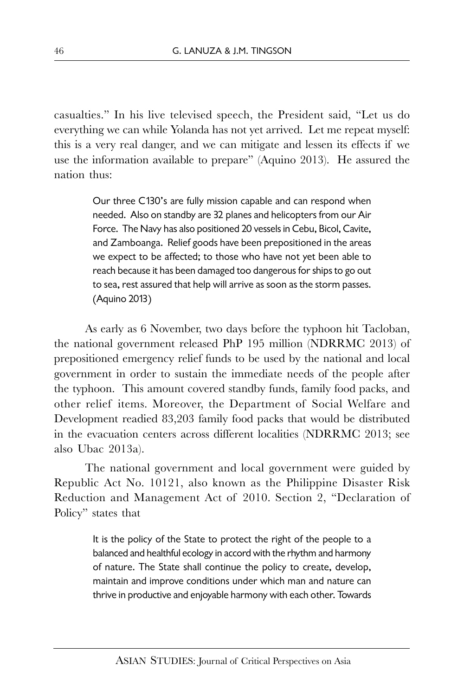casualties." In his live televised speech, the President said, "Let us do everything we can while Yolanda has not yet arrived. Let me repeat myself: this is a very real danger, and we can mitigate and lessen its effects if we use the information available to prepare" (Aquino 2013). He assured the nation thus:

> Our three C130's are fully mission capable and can respond when needed. Also on standby are 32 planes and helicopters from our Air Force. The Navy has also positioned 20 vessels in Cebu, Bicol, Cavite, and Zamboanga. Relief goods have been prepositioned in the areas we expect to be affected; to those who have not yet been able to reach because it has been damaged too dangerous for ships to go out to sea, rest assured that help will arrive as soon as the storm passes. (Aquino 2013)

As early as 6 November, two days before the typhoon hit Tacloban, the national government released PhP 195 million (NDRRMC 2013) of prepositioned emergency relief funds to be used by the national and local government in order to sustain the immediate needs of the people after the typhoon. This amount covered standby funds, family food packs, and other relief items. Moreover, the Department of Social Welfare and Development readied 83,203 family food packs that would be distributed in the evacuation centers across different localities (NDRRMC 2013; see also Ubac 2013a).

The national government and local government were guided by Republic Act No. 10121, also known as the Philippine Disaster Risk Reduction and Management Act of 2010. Section 2, "Declaration of Policy" states that

> It is the policy of the State to protect the right of the people to a balanced and healthful ecology in accord with the rhythm and harmony of nature. The State shall continue the policy to create, develop, maintain and improve conditions under which man and nature can thrive in productive and enjoyable harmony with each other. Towards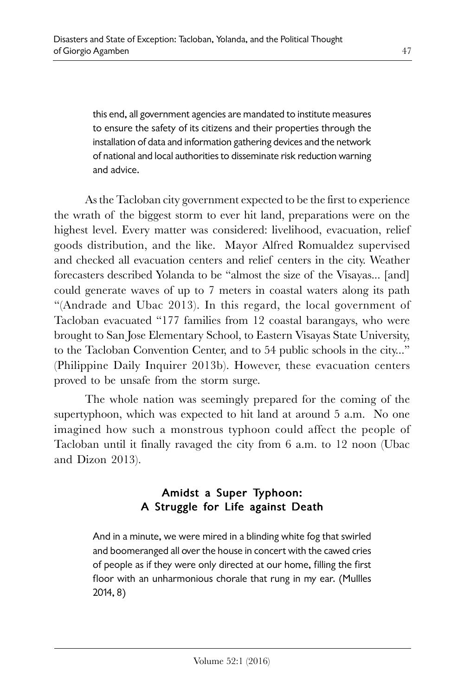this end, all government agencies are mandated to institute measures to ensure the safety of its citizens and their properties through the installation of data and information gathering devices and the network of national and local authorities to disseminate risk reduction warning and advice.

As the Tacloban city government expected to be the first to experience the wrath of the biggest storm to ever hit land, preparations were on the highest level. Every matter was considered: livelihood, evacuation, relief goods distribution, and the like. Mayor Alfred Romualdez supervised and checked all evacuation centers and relief centers in the city. Weather forecasters described Yolanda to be "almost the size of the Visayas... [and] could generate waves of up to 7 meters in coastal waters along its path "(Andrade and Ubac 2013). In this regard, the local government of Tacloban evacuated "177 families from 12 coastal barangays, who were brought to San Jose Elementary School, to Eastern Visayas State University, to the Tacloban Convention Center, and to 54 public schools in the city..." (Philippine Daily Inquirer 2013b). However, these evacuation centers proved to be unsafe from the storm surge.

The whole nation was seemingly prepared for the coming of the supertyphoon, which was expected to hit land at around 5 a.m. No one imagined how such a monstrous typhoon could affect the people of Tacloban until it finally ravaged the city from 6 a.m. to 12 noon (Ubac and Dizon 2013).

# Amidst a Super Typhoon: A Struggle for Life against Death

And in a minute, we were mired in a blinding white fog that swirled and boomeranged all over the house in concert with the cawed cries of people as if they were only directed at our home, filling the first floor with an unharmonious chorale that rung in my ear. (Mullles 2014, 8)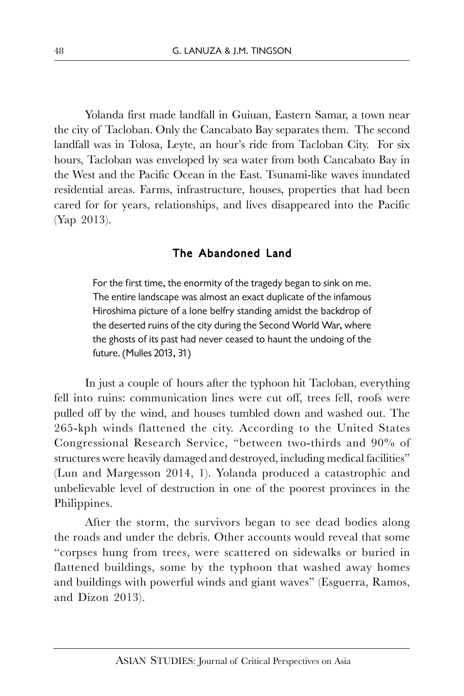Yolanda first made landfall in Guiuan, Eastern Samar, a town near the city of Tacloban. Only the Cancabato Bay separates them. The second landfall was in Tolosa, Leyte, an hour's ride from Tacloban City. For six hours, Tacloban was enveloped by sea water from both Cancabato Bay in the West and the Pacific Ocean in the East. Tsunami-like waves inundated residential areas. Farms, infrastructure, houses, properties that had been cared for for years, relationships, and lives disappeared into the Pacific (Yap 2013).

#### The Abandoned Land

For the first time, the enormity of the tragedy began to sink on me. The entire landscape was almost an exact duplicate of the infamous Hiroshima picture of a lone belfry standing amidst the backdrop of the deserted ruins of the city during the Second World War, where the ghosts of its past had never ceased to haunt the undoing of the future. (Mulles 2013, 31)

In just a couple of hours after the typhoon hit Tacloban, everything fell into ruins: communication lines were cut off, trees fell, roofs were pulled off by the wind, and houses tumbled down and washed out. The 265-kph winds flattened the city. According to the United States Congressional Research Service, "between two-thirds and 90% of structures were heavily damaged and destroyed, including medical facilities" (Lun and Margesson 2014, 1). Yolanda produced a catastrophic and unbelievable level of destruction in one of the poorest provinces in the Philippines.

After the storm, the survivors began to see dead bodies along the roads and under the debris. Other accounts would reveal that some "corpses hung from trees, were scattered on sidewalks or buried in flattened buildings, some by the typhoon that washed away homes and buildings with powerful winds and giant waves" (Esguerra, Ramos, and Dizon 2013).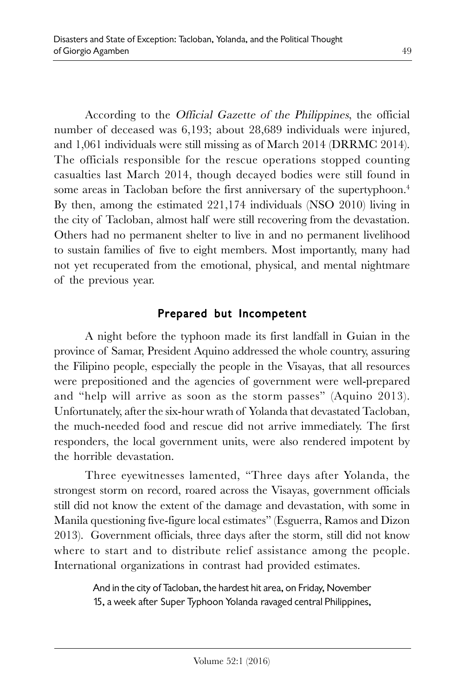According to the Official Gazette of the Philippines, the official number of deceased was 6,193; about 28,689 individuals were injured, and 1,061 individuals were still missing as of March 2014 (DRRMC 2014). The officials responsible for the rescue operations stopped counting casualties last March 2014, though decayed bodies were still found in some areas in Tacloban before the first anniversary of the supertyphoon.<sup>4</sup> By then, among the estimated 221,174 individuals (NSO 2010) living in the city of Tacloban, almost half were still recovering from the devastation. Others had no permanent shelter to live in and no permanent livelihood to sustain families of five to eight members. Most importantly, many had not yet recuperated from the emotional, physical, and mental nightmare of the previous year.

## Prepared but Incompetent

A night before the typhoon made its first landfall in Guian in the province of Samar, President Aquino addressed the whole country, assuring the Filipino people, especially the people in the Visayas, that all resources were prepositioned and the agencies of government were well-prepared and "help will arrive as soon as the storm passes" (Aquino 2013). Unfortunately, after the six-hour wrath of Yolanda that devastated Tacloban, the much-needed food and rescue did not arrive immediately. The first responders, the local government units, were also rendered impotent by the horrible devastation.

Three eyewitnesses lamented, "Three days after Yolanda, the strongest storm on record, roared across the Visayas, government officials still did not know the extent of the damage and devastation, with some in Manila questioning five-figure local estimates" (Esguerra, Ramos and Dizon 2013). Government officials, three days after the storm, still did not know where to start and to distribute relief assistance among the people. International organizations in contrast had provided estimates.

> And in the city of Tacloban, the hardest hit area, on Friday, November 15, a week after Super Typhoon Yolanda ravaged central Philippines,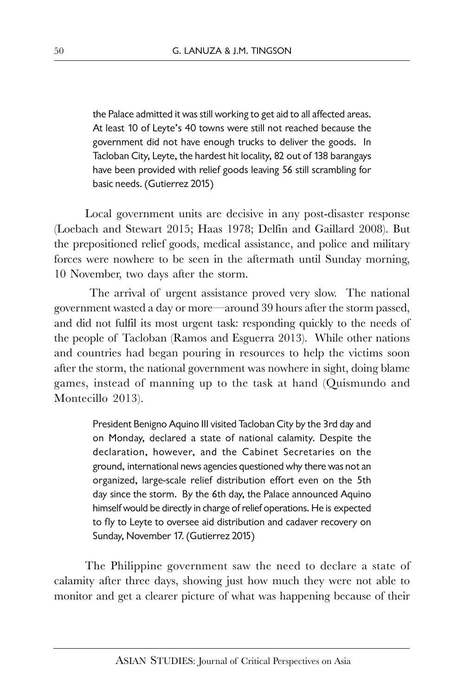the Palace admitted it was still working to get aid to all affected areas. At least 10 of Leyte's 40 towns were still not reached because the government did not have enough trucks to deliver the goods. In Tacloban City, Leyte, the hardest hit locality, 82 out of 138 barangays have been provided with relief goods leaving 56 still scrambling for basic needs. (Gutierrez 2015)

Local government units are decisive in any post-disaster response (Loebach and Stewart 2015; Haas 1978; Delfin and Gaillard 2008). But the prepositioned relief goods, medical assistance, and police and military forces were nowhere to be seen in the aftermath until Sunday morning, 10 November, two days after the storm.

 The arrival of urgent assistance proved very slow. The national government wasted a day or more—around 39 hours after the storm passed, and did not fulfil its most urgent task: responding quickly to the needs of the people of Tacloban (Ramos and Esguerra 2013). While other nations and countries had began pouring in resources to help the victims soon after the storm, the national government was nowhere in sight, doing blame games, instead of manning up to the task at hand (Quismundo and Montecillo 2013).

> President Benigno Aquino III visited Tacloban City by the 3rd day and on Monday, declared a state of national calamity. Despite the declaration, however, and the Cabinet Secretaries on the ground, international news agencies questioned why there was not an organized, large-scale relief distribution effort even on the 5th day since the storm. By the 6th day, the Palace announced Aquino himself would be directly in charge of relief operations. He is expected to fly to Leyte to oversee aid distribution and cadaver recovery on Sunday, November 17. (Gutierrez 2015)

The Philippine government saw the need to declare a state of calamity after three days, showing just how much they were not able to monitor and get a clearer picture of what was happening because of their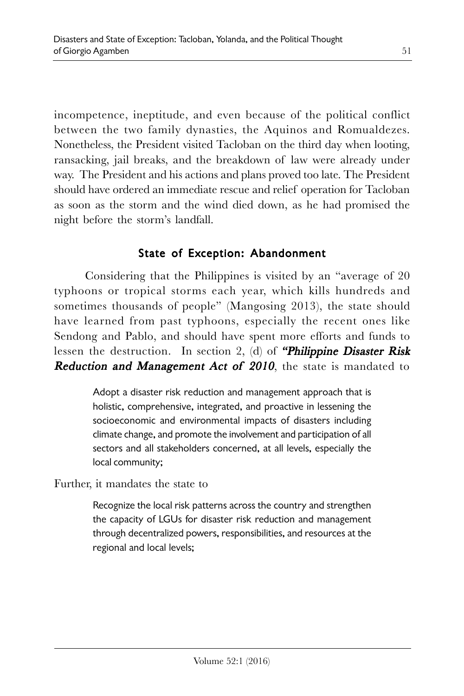incompetence, ineptitude, and even because of the political conflict between the two family dynasties, the Aquinos and Romualdezes. Nonetheless, the President visited Tacloban on the third day when looting, ransacking, jail breaks, and the breakdown of law were already under way. The President and his actions and plans proved too late. The President should have ordered an immediate rescue and relief operation for Tacloban as soon as the storm and the wind died down, as he had promised the night before the storm's landfall.

## State of Exception: Abandonment

Considering that the Philippines is visited by an "average of 20 typhoons or tropical storms each year, which kills hundreds and sometimes thousands of people" (Mangosing 2013), the state should have learned from past typhoons, especially the recent ones like Sendong and Pablo, and should have spent more efforts and funds to lessen the destruction. In section 2, (d) of "Philippine Disaster Risk **Reduction and Management Act of 2010**, the state is mandated to

> Adopt a disaster risk reduction and management approach that is holistic, comprehensive, integrated, and proactive in lessening the socioeconomic and environmental impacts of disasters including climate change, and promote the involvement and participation of all sectors and all stakeholders concerned, at all levels, especially the local community;

Further, it mandates the state to

Recognize the local risk patterns across the country and strengthen the capacity of LGUs for disaster risk reduction and management through decentralized powers, responsibilities, and resources at the regional and local levels;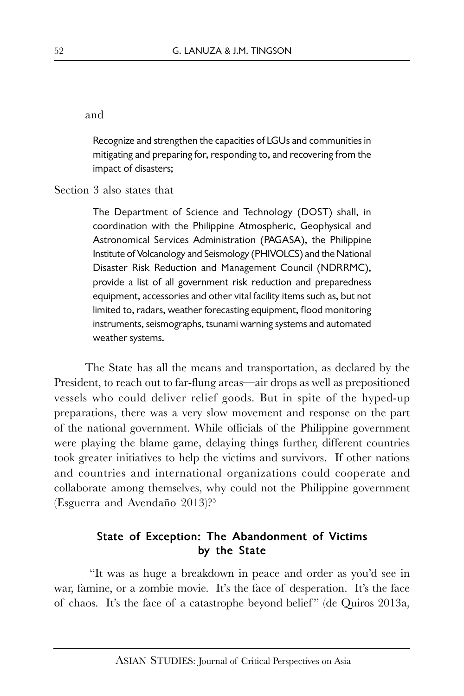#### and

Recognize and strengthen the capacities of LGUs and communities in mitigating and preparing for, responding to, and recovering from the impact of disasters;

#### Section 3 also states that

The Department of Science and Technology (DOST) shall, in coordination with the Philippine Atmospheric, Geophysical and Astronomical Services Administration (PAGASA), the Philippine Institute of Volcanology and Seismology (PHIVOLCS) and the National Disaster Risk Reduction and Management Council (NDRRMC), provide a list of all government risk reduction and preparedness equipment, accessories and other vital facility items such as, but not limited to, radars, weather forecasting equipment, flood monitoring instruments, seismographs, tsunami warning systems and automated weather systems.

The State has all the means and transportation, as declared by the President, to reach out to far-flung areas—air drops as well as prepositioned vessels who could deliver relief goods. But in spite of the hyped-up preparations, there was a very slow movement and response on the part of the national government. While officials of the Philippine government were playing the blame game, delaying things further, different countries took greater initiatives to help the victims and survivors. If other nations and countries and international organizations could cooperate and collaborate among themselves, why could not the Philippine government (Esguerra and Avendaño 2013)?<sup>5</sup>

## State of Exception: The Abandonment of Victims by the State

 "It was as huge a breakdown in peace and order as you'd see in war, famine, or a zombie movie. It's the face of desperation. It's the face of chaos. It's the face of a catastrophe beyond belief" (de Quiros 2013a,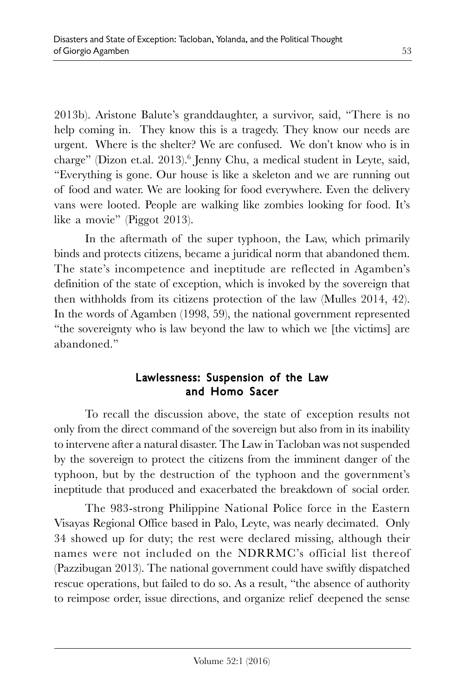2013b). Aristone Balute's granddaughter, a survivor, said, "There is no help coming in. They know this is a tragedy. They know our needs are urgent. Where is the shelter? We are confused. We don't know who is in charge" (Dizon et.al. 2013).<sup>6</sup> Jenny Chu, a medical student in Leyte, said, "Everything is gone. Our house is like a skeleton and we are running out of food and water. We are looking for food everywhere. Even the delivery vans were looted. People are walking like zombies looking for food. It's like a movie" (Piggot 2013).

In the aftermath of the super typhoon, the Law, which primarily binds and protects citizens, became a juridical norm that abandoned them. The state's incompetence and ineptitude are reflected in Agamben's definition of the state of exception, which is invoked by the sovereign that then withholds from its citizens protection of the law (Mulles 2014, 42). In the words of Agamben (1998, 59), the national government represented "the sovereignty who is law beyond the law to which we [the victims] are abandoned."

# Lawlessness: Suspension of the Law and Homo Sacer

To recall the discussion above, the state of exception results not only from the direct command of the sovereign but also from in its inability to intervene after a natural disaster. The Law in Tacloban was not suspended by the sovereign to protect the citizens from the imminent danger of the typhoon, but by the destruction of the typhoon and the government's ineptitude that produced and exacerbated the breakdown of social order.

The 983-strong Philippine National Police force in the Eastern Visayas Regional Office based in Palo, Leyte, was nearly decimated. Only 34 showed up for duty; the rest were declared missing, although their names were not included on the NDRRMC's official list thereof (Pazzibugan 2013). The national government could have swiftly dispatched rescue operations, but failed to do so. As a result, "the absence of authority to reimpose order, issue directions, and organize relief deepened the sense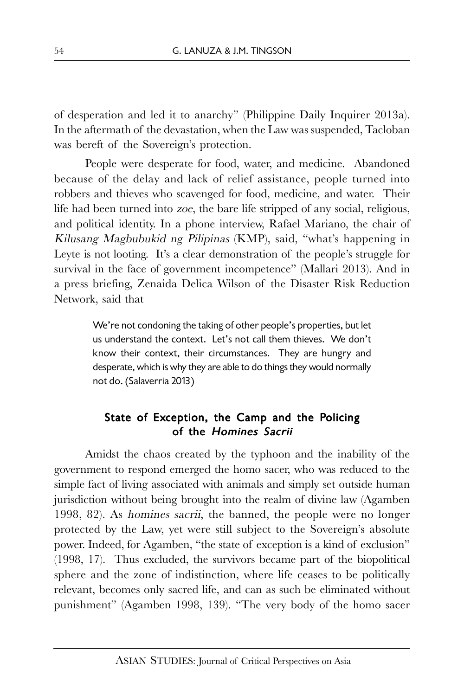of desperation and led it to anarchy" (Philippine Daily Inquirer 2013a). In the aftermath of the devastation, when the Law was suspended, Tacloban was bereft of the Sovereign's protection.

People were desperate for food, water, and medicine. Abandoned because of the delay and lack of relief assistance, people turned into robbers and thieves who scavenged for food, medicine, and water. Their life had been turned into zoe, the bare life stripped of any social, religious, and political identity. In a phone interview, Rafael Mariano, the chair of Kilusang Magbubukid ng Pilipinas (KMP), said, "what's happening in Leyte is not looting. It's a clear demonstration of the people's struggle for survival in the face of government incompetence" (Mallari 2013). And in a press briefing, Zenaida Delica Wilson of the Disaster Risk Reduction Network, said that

> We're not condoning the taking of other people's properties, but let us understand the context. Let's not call them thieves. We don't know their context, their circumstances. They are hungry and desperate, which is why they are able to do things they would normally not do. (Salaverria 2013)

## State of Exception, the Camp and the Policing of the Homines Sacrii

Amidst the chaos created by the typhoon and the inability of the government to respond emerged the homo sacer, who was reduced to the simple fact of living associated with animals and simply set outside human jurisdiction without being brought into the realm of divine law (Agamben 1998, 82). As homines sacrii, the banned, the people were no longer protected by the Law, yet were still subject to the Sovereign's absolute power. Indeed, for Agamben, "the state of exception is a kind of exclusion" (1998, 17). Thus excluded, the survivors became part of the biopolitical sphere and the zone of indistinction, where life ceases to be politically relevant, becomes only sacred life, and can as such be eliminated without punishment" (Agamben 1998, 139). "The very body of the homo sacer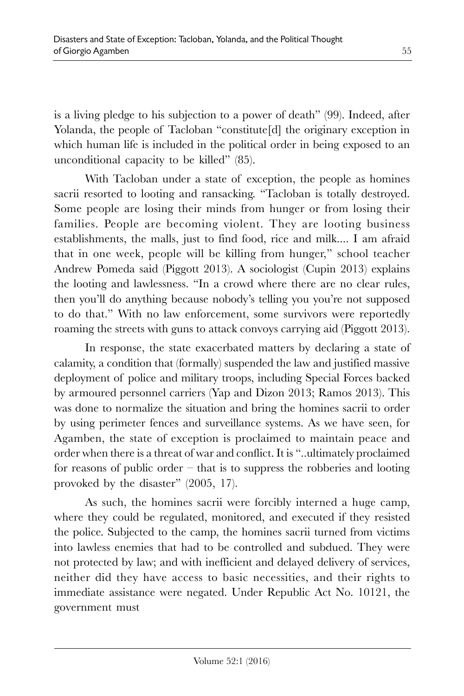is a living pledge to his subjection to a power of death" (99). Indeed, after Yolanda, the people of Tacloban "constitute[d] the originary exception in which human life is included in the political order in being exposed to an unconditional capacity to be killed" (85).

With Tacloban under a state of exception, the people as homines sacrii resorted to looting and ransacking. "Tacloban is totally destroyed. Some people are losing their minds from hunger or from losing their families. People are becoming violent. They are looting business establishments, the malls, just to find food, rice and milk.... I am afraid that in one week, people will be killing from hunger," school teacher Andrew Pomeda said (Piggott 2013). A sociologist (Cupin 2013) explains the looting and lawlessness. "In a crowd where there are no clear rules, then you'll do anything because nobody's telling you you're not supposed to do that." With no law enforcement, some survivors were reportedly roaming the streets with guns to attack convoys carrying aid (Piggott 2013).

In response, the state exacerbated matters by declaring a state of calamity, a condition that (formally) suspended the law and justified massive deployment of police and military troops, including Special Forces backed by armoured personnel carriers (Yap and Dizon 2013; Ramos 2013). This was done to normalize the situation and bring the homines sacrii to order by using perimeter fences and surveillance systems. As we have seen, for Agamben, the state of exception is proclaimed to maintain peace and order when there is a threat of war and conflict. It is "..ultimately proclaimed for reasons of public order – that is to suppress the robberies and looting provoked by the disaster" (2005, 17).

As such, the homines sacrii were forcibly interned a huge camp, where they could be regulated, monitored, and executed if they resisted the police. Subjected to the camp, the homines sacrii turned from victims into lawless enemies that had to be controlled and subdued. They were not protected by law; and with inefficient and delayed delivery of services, neither did they have access to basic necessities, and their rights to immediate assistance were negated. Under Republic Act No. 10121, the government must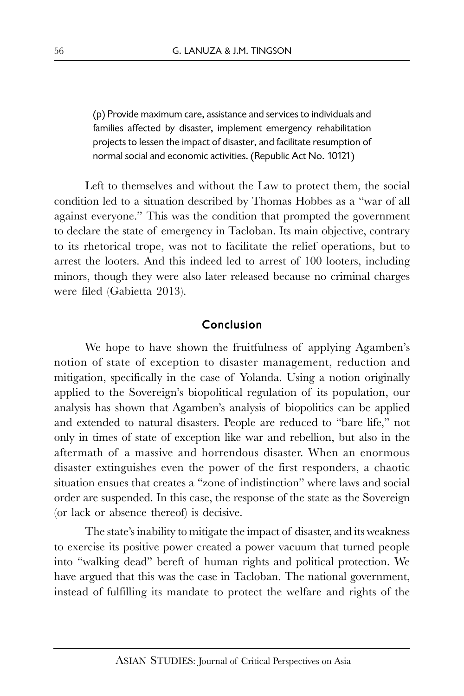(p) Provide maximum care, assistance and services to individuals and families affected by disaster, implement emergency rehabilitation projects to lessen the impact of disaster, and facilitate resumption of normal social and economic activities. (Republic Act No. 10121)

Left to themselves and without the Law to protect them, the social condition led to a situation described by Thomas Hobbes as a "war of all against everyone." This was the condition that prompted the government to declare the state of emergency in Tacloban. Its main objective, contrary to its rhetorical trope, was not to facilitate the relief operations, but to arrest the looters. And this indeed led to arrest of 100 looters, including minors, though they were also later released because no criminal charges were filed (Gabietta 2013).

#### Conclusion

We hope to have shown the fruitfulness of applying Agamben's notion of state of exception to disaster management, reduction and mitigation, specifically in the case of Yolanda. Using a notion originally applied to the Sovereign's biopolitical regulation of its population, our analysis has shown that Agamben's analysis of biopolitics can be applied and extended to natural disasters. People are reduced to "bare life," not only in times of state of exception like war and rebellion, but also in the aftermath of a massive and horrendous disaster. When an enormous disaster extinguishes even the power of the first responders, a chaotic situation ensues that creates a "zone of indistinction" where laws and social order are suspended. In this case, the response of the state as the Sovereign (or lack or absence thereof) is decisive.

The state's inability to mitigate the impact of disaster, and its weakness to exercise its positive power created a power vacuum that turned people into "walking dead" bereft of human rights and political protection. We have argued that this was the case in Tacloban. The national government, instead of fulfilling its mandate to protect the welfare and rights of the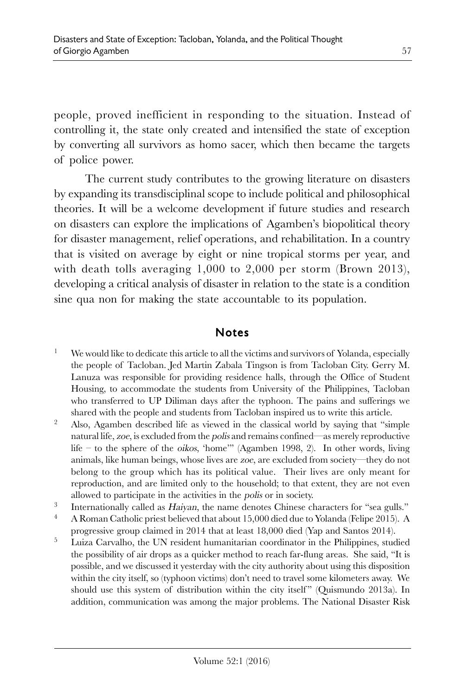people, proved inefficient in responding to the situation. Instead of controlling it, the state only created and intensified the state of exception by converting all survivors as homo sacer, which then became the targets of police power.

The current study contributes to the growing literature on disasters by expanding its transdisciplinal scope to include political and philosophical theories. It will be a welcome development if future studies and research on disasters can explore the implications of Agamben's biopolitical theory for disaster management, relief operations, and rehabilitation. In a country that is visited on average by eight or nine tropical storms per year, and with death tolls averaging 1,000 to 2,000 per storm (Brown 2013), developing a critical analysis of disaster in relation to the state is a condition sine qua non for making the state accountable to its population.

## Notes

- <sup>1</sup> We would like to dedicate this article to all the victims and survivors of Yolanda, especially the people of Tacloban. Jed Martin Zabala Tingson is from Tacloban City. Gerry M. Lanuza was responsible for providing residence halls, through the Office of Student Housing, to accommodate the students from University of the Philippines, Tacloban who transferred to UP Diliman days after the typhoon. The pains and sufferings we shared with the people and students from Tacloban inspired us to write this article.
- <sup>2</sup> Also, Agamben described life as viewed in the classical world by saying that "simple natural life, zoe, is excluded from the polis and remains confined—as merely reproductive life – to the sphere of the oikos, 'home'" (Agamben 1998, 2). In other words, living animals, like human beings, whose lives are zoe, are excluded from society—they do not belong to the group which has its political value. Their lives are only meant for reproduction, and are limited only to the household; to that extent, they are not even allowed to participate in the activities in the polis or in society.
- 3 Internationally called as Haiyan, the name denotes Chinese characters for "sea gulls."
- <sup>4</sup> A Roman Catholic priest believed that about 15,000 died due to Yolanda (Felipe 2015). A progressive group claimed in 2014 that at least 18,000 died (Yap and Santos 2014).
- <sup>5</sup> Luiza Carvalho, the UN resident humanitarian coordinator in the Philippines, studied the possibility of air drops as a quicker method to reach far-flung areas. She said, "It is possible, and we discussed it yesterday with the city authority about using this disposition within the city itself, so (typhoon victims) don't need to travel some kilometers away. We should use this system of distribution within the city itself" (Quismundo 2013a). In addition, communication was among the major problems. The National Disaster Risk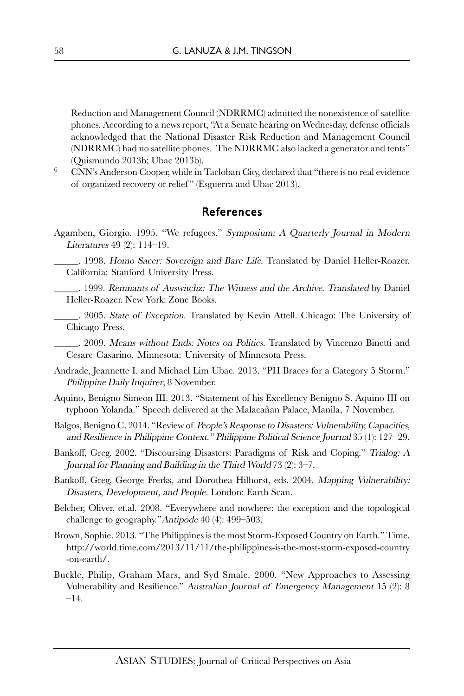Reduction and Management Council (NDRRMC) admitted the nonexistence of satellite phones. According to a news report, "At a Senate hearing on Wednesday, defense officials acknowledged that the National Disaster Risk Reduction and Management Council (NDRRMC) had no satellite phones. The NDRRMC also lacked a generator and tents" (Quismundo 2013b; Ubac 2013b).

<sup>6</sup> CNN's Anderson Cooper, while in Tacloban City, declared that "there is no real evidence of organized recovery or relief " (Esguerra and Ubac 2013).

#### References

- Agamben, Giorgio. 1995. "We refugees." Symposium: A Quarterly Journal in Modern Literatures 49 (2): 114–19.
- \_\_\_\_\_. 1998. Homo Sacer: Sovereign and Bare Life. Translated by Daniel Heller-Roazer. California: Stanford University Press.
- \_\_\_\_\_. 1999. Remnants of Auswitchz: The Witness and the Archive. Translated by Daniel Heller-Roazer. New York: Zone Books.
- \_\_\_\_\_. 2005. State of Exception. Translated by Kevin Attell. Chicago: The University of Chicago Press.

\_\_\_\_\_. 2009. Means without Ends: Notes on Politics. Translated by Vincenzo Binetti and Cesare Casarino. Minnesota: University of Minnesota Press.

- Andrade, Jeannette I. and Michael Lim Ubac. 2013. "PH Braces for a Category 5 Storm." Philippine Daily Inquirer, 8 November.
- Aquino, Benigno Simeon III. 2013. "Statement of his Excellency Benigno S. Aquino III on typhoon Yolanda." Speech delivered at the Malacañan Palace, Manila, 7 November.
- Balgos, Benigno C. 2014. "Review of People's Response to Disasters: Vulnerability, Capacities, and Resilience in Philippine Context." Philippine Political Science Journal 35 (1): 127–29.
- Bankoff, Greg. 2002. "Discoursing Disasters: Paradigms of Risk and Coping." Trialog: A Journal for Planning and Building in the Third World 73 (2): 3–7.
- Bankoff, Greg, George Frerks, and Dorothea Hilhorst, eds. 2004. Mapping Vulnerability: Disasters, Development, and People. London: Earth Scan.
- Belcher, Oliver, et.al. 2008. "Everywhere and nowhere: the exception and the topological challenge to geography."Antipode 40 (4): 499–503.
- Brown, Sophie. 2013. "The Philippines is the most Storm-Exposed Country on Earth." Time. http://world.time.com/2013/11/11/the-philippines-is-the-most-storm-exposed-country -on-earth/.
- Buckle, Philip, Graham Mars, and Syd Smale. 2000. "New Approaches to Assessing Vulnerability and Resilience." Australian Journal of Emergency Management 15 (2): 8 –14.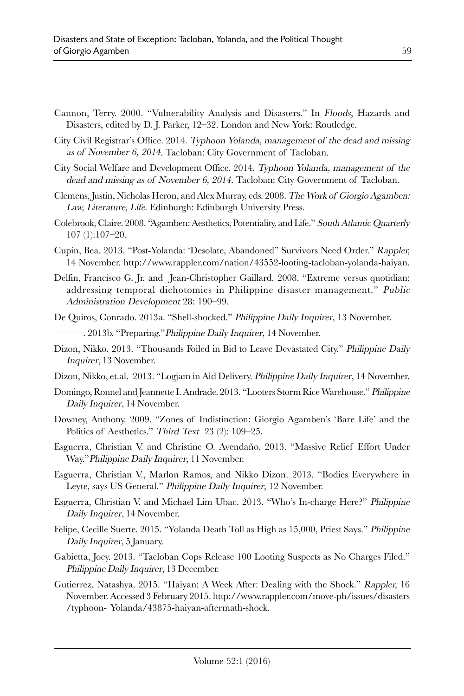- Cannon, Terry. 2000. "Vulnerability Analysis and Disasters." In Floods, Hazards and Disasters, edited by D. J. Parker, 12–32. London and New York: Routledge.
- City Civil Registrar's Office. 2014. Typhoon Yolanda, management of the dead and missing as of November 6, 2014. Tacloban: City Government of Tacloban.
- City Social Welfare and Development Office. 2014. Typhoon Yolanda, management of the dead and missing as of November 6, 2014. Tacloban: City Government of Tacloban.
- Clemens, Justin, Nicholas Heron, and Alex Murray, eds. 2008.The Work of Giorgio Agamben: Law, Literature, Life. Edinburgh: Edinburgh University Press.
- Colebrook, Claire. 2008. "Agamben: Aesthetics, Potentiality, and Life." South Atlantic Quarterly 107 (1):107–20.
- Cupin, Bea. 2013. "Post-Yolanda: 'Desolate, Abandoned" Survivors Need Order." Rappler, 14 November. http://www.rappler.com/nation/43552-looting-tacloban-yolanda-haiyan.
- Delfin, Francisco G. Jr. and Jean-Christopher Gaillard. 2008. "Extreme versus quotidian: addressing temporal dichotomies in Philippine disaster management." Public Administration Development 28: 190–99.
- De Quiros, Conrado. 2013a. "Shell-shocked." Philippine Daily Inquirer, 13 November. -. 2013b. "Preparing." Philippine Daily Inquirer, 14 November.
- Dizon, Nikko. 2013. "Thousands Foiled in Bid to Leave Devastated City." Philippine Daily Inquirer, 13 November.
- Dizon, Nikko, et.al. 2013. "Logjam in Aid Delivery. Philippine Daily Inquirer, 14 November.
- Domingo, Ronnel and Jeannette I.Andrade. 2013. "Looters Storm Rice Warehouse." Philippine Daily Inquirer, 14 November.
- Downey, Anthony. 2009. "Zones of Indistinction: Giorgio Agamben's 'Bare Life' and the Politics of Aesthetics." Third Text 23 (2): 109–25.
- Esguerra, Christian V. and Christine O. Avendaño. 2013. "Massive Relief Effort Under Way."Philippine Daily Inquirer, 11 November.
- Esguerra, Christian V., Marlon Ramos, and Nikko Dizon. 2013. "Bodies Everywhere in Leyte, says US General." Philippine Daily Inquirer, 12 November.
- Esguerra, Christian V. and Michael Lim Ubac. 2013. "Who's In-charge Here?" Philippine Daily Inquirer, 14 November.
- Felipe, Cecille Suerte. 2015. "Yolanda Death Toll as High as 15,000, Priest Says." Philippine Daily Inquirer, 5 January.
- Gabietta, Joey. 2013. "Tacloban Cops Release 100 Looting Suspects as No Charges Filed." Philippine Daily Inquirer, 13 December.
- Gutierrez, Natashya. 2015. "Haiyan: A Week After: Dealing with the Shock." Rappler, 16 November. Accessed 3 February 2015. http://www.rappler.com/move-ph/issues/disasters /typhoon- Yolanda/43875-haiyan-aftermath-shock.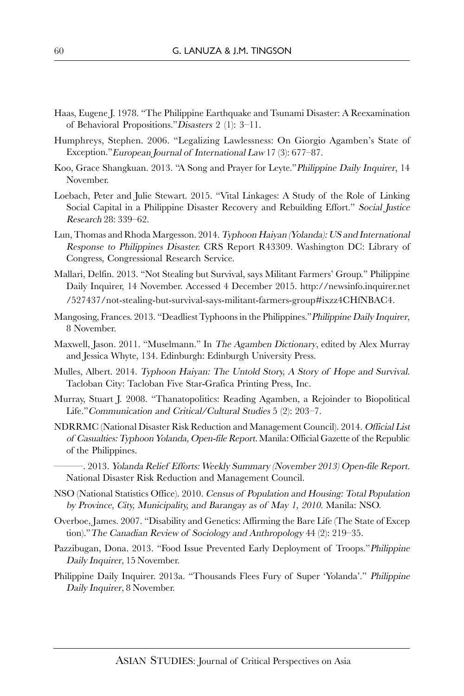- Haas, Eugene J. 1978. "The Philippine Earthquake and Tsunami Disaster: A Reexamination of Behavioral Propositions."Disasters 2 (1): 3–11.
- Humphreys, Stephen. 2006. "Legalizing Lawlessness: On Giorgio Agamben's State of Exception."European Journal of International Law 17 (3): 677–87.
- Koo, Grace Shangkuan. 2013. "A Song and Prayer for Leyte."Philippine Daily Inquirer, 14 November.
- Loebach, Peter and Julie Stewart. 2015. "Vital Linkages: A Study of the Role of Linking Social Capital in a Philippine Disaster Recovery and Rebuilding Effort." Social Justice Research 28: 339–62.
- Lun, Thomas and Rhoda Margesson. 2014. Typhoon Haiyan (Yolanda): US and International Response to Philippines Disaster. CRS Report R43309. Washington DC: Library of Congress, Congressional Research Service.
- Mallari, Delfin. 2013. "Not Stealing but Survival, says Militant Farmers' Group." Philippine Daily Inquirer, 14 November. Accessed 4 December 2015. http://newsinfo.inquirer.net /527437/not-stealing-but-survival-says-militant-farmers-group#ixzz4CHfNBAC4.
- Mangosing, Frances. 2013. "Deadliest Typhoons in the Philippines."Philippine Daily Inquirer, 8 November.
- Maxwell, Jason. 2011. "Muselmann." In The Agamben Dictionary, edited by Alex Murray and Jessica Whyte, 134. Edinburgh: Edinburgh University Press.
- Mulles, Albert. 2014. Typhoon Haiyan: The Untold Story, A Story of Hope and Survival. Tacloban City: Tacloban Five Star-Grafica Printing Press, Inc.
- Murray, Stuart J. 2008. "Thanatopolitics: Reading Agamben, a Rejoinder to Biopolitical Life."Communication and Critical/Cultural Studies 5 (2): 203–7.
- NDRRMC (National Disaster Risk Reduction and Management Council). 2014. Official List of Casualties: Typhoon Yolanda, Open-file Report. Manila: Official Gazette of the Republic of the Philippines.
- ———. 2013. Yolanda Relief Efforts: Weekly Summary (November 2013) Open-file Report. National Disaster Risk Reduction and Management Council.
- NSO (National Statistics Office). 2010. Census of Population and Housing: Total Population by Province, City, Municipality, and Barangay as of May 1, 2010. Manila: NSO.
- Overboe, James. 2007. "Disability and Genetics: Affirming the Bare Life (The State of Excep tion)."The Canadian Review of Sociology and Anthropology 44 (2): 219–35.
- Pazzibugan, Dona. 2013. "Food Issue Prevented Early Deployment of Troops."Philippine Daily Inquirer, 15 November.
- Philippine Daily Inquirer. 2013a. "Thousands Flees Fury of Super 'Yolanda'." Philippine Daily Inquirer, 8 November.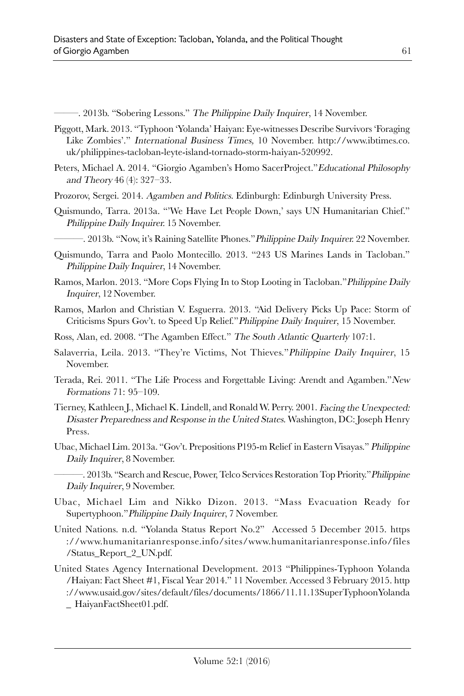-. 2013b. "Sobering Lessons." The Philippine Daily Inquirer, 14 November.

- Piggott, Mark. 2013. "Typhoon 'Yolanda' Haiyan: Eye-witnesses Describe Survivors 'Foraging Like Zombies'." International Business Times, 10 November. http://www.ibtimes.co. uk/philippines-tacloban-leyte-island-tornado-storm-haiyan-520992.
- Peters, Michael A. 2014. "Giorgio Agamben's Homo SacerProject."Educational Philosophy and Theory 46 (4): 327–33.
- Prozorov, Sergei. 2014. Agamben and Politics. Edinburgh: Edinburgh University Press.
- Quismundo, Tarra. 2013a. "'We Have Let People Down,' says UN Humanitarian Chief." Philippine Daily Inquirer. 15 November.
- -. 2013b. "Now, it's Raining Satellite Phones." Philippine Daily Inquirer. 22 November.
- Quismundo, Tarra and Paolo Montecillo. 2013. "243 US Marines Lands in Tacloban." Philippine Daily Inquirer, 14 November.
- Ramos, Marlon. 2013. "More Cops Flying In to Stop Looting in Tacloban."Philippine Daily Inquirer, 12 November.
- Ramos, Marlon and Christian V. Esguerra. 2013. "Aid Delivery Picks Up Pace: Storm of Criticisms Spurs Gov't. to Speed Up Relief."Philippine Daily Inquirer, 15 November.
- Ross, Alan, ed. 2008. "The Agamben Effect." The South Atlantic Quarterly 107:1.
- Salaverria, Leila. 2013. "They're Victims, Not Thieves."Philippine Daily Inquirer, 15 November.
- Terada, Rei. 2011. "The Life Process and Forgettable Living: Arendt and Agamben."New Formations 71: 95–109.
- Tierney, Kathleen J., Michael K. Lindell, and Ronald W. Perry. 2001. Facing the Unexpected: Disaster Preparedness and Response in the United States. Washington, DC: Joseph Henry Press.
- Ubac, Michael Lim. 2013a. "Gov't. Prepositions P195-m Relief in Eastern Visayas." Philippine Daily Inquirer, 8 November.
	- ———. 2013b. "Search and Rescue, Power, Telco Services Restoration Top Priority."Philippine Daily Inquirer, 9 November.
- Ubac, Michael Lim and Nikko Dizon. 2013. "Mass Evacuation Ready for Supertyphoon."Philippine Daily Inquirer, 7 November.
- United Nations. n.d. "Yolanda Status Report No.2" Accessed 5 December 2015. https ://www.humanitarianresponse.info/sites/www.humanitarianresponse.info/files /Status\_Report\_2\_UN.pdf.
- United States Agency International Development. 2013 "Philippines-Typhoon Yolanda /Haiyan: Fact Sheet #1, Fiscal Year 2014." 11 November. Accessed 3 February 2015. http ://www.usaid.gov/sites/default/files/documents/1866/11.11.13SuperTyphoonYolanda
	- \_ HaiyanFactSheet01.pdf.